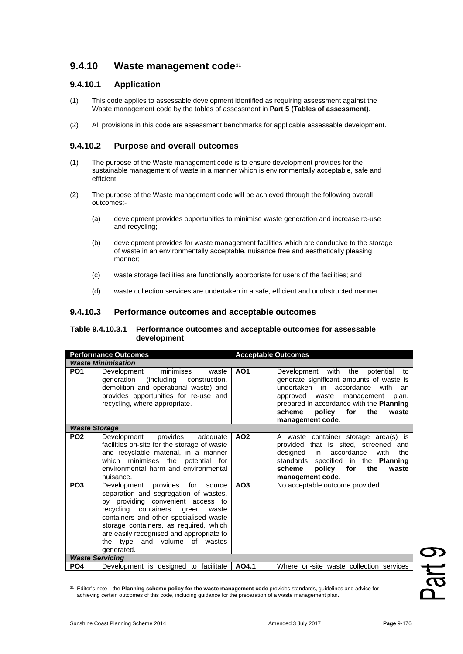# **9.4.10 Waste management code**[31](#page-0-0)

## **9.4.10.1 Application**

- (1) This code applies to assessable development identified as requiring assessment against the Waste management code by the tables of assessment in **Part 5 (Tables of assessment)**.
- (2) All provisions in this code are assessment benchmarks for applicable assessable development.

### **9.4.10.2 Purpose and overall outcomes**

- (1) The purpose of the Waste management code is to ensure development provides for the sustainable management of waste in a manner which is environmentally acceptable, safe and efficient.
- (2) The purpose of the Waste management code will be achieved through the following overall outcomes:-
	- (a) development provides opportunities to minimise waste generation and increase re-use and recycling;
	- (b) development provides for waste management facilities which are conducive to the storage of waste in an environmentally acceptable, nuisance free and aesthetically pleasing manner;
	- (c) waste storage facilities are functionally appropriate for users of the facilities; and
	- (d) waste collection services are undertaken in a safe, efficient and unobstructed manner.

#### **9.4.10.3 Performance outcomes and acceptable outcomes**

#### **Table 9.4.10.3.1 Performance outcomes and acceptable outcomes for assessable development**

| <b>Performance Outcomes</b> |                                                                                                                                                                                                                                                                                                                                   | <b>Acceptable Outcomes</b> |                                                                                                                                                                                                                                                                                   |  |  |  |
|-----------------------------|-----------------------------------------------------------------------------------------------------------------------------------------------------------------------------------------------------------------------------------------------------------------------------------------------------------------------------------|----------------------------|-----------------------------------------------------------------------------------------------------------------------------------------------------------------------------------------------------------------------------------------------------------------------------------|--|--|--|
| <b>Waste Minimisation</b>   |                                                                                                                                                                                                                                                                                                                                   |                            |                                                                                                                                                                                                                                                                                   |  |  |  |
| PO <sub>1</sub>             | minimises<br>Development<br>waste<br>(including construction,<br>generation<br>demolition and operational waste) and<br>provides opportunities for re-use and<br>recycling, where appropriate.                                                                                                                                    | A01                        | Development with the<br>potential<br>to<br>generate significant amounts of waste is<br>undertaken in accordance<br>with<br>an<br>approved<br>waste management<br>plan.<br>prepared in accordance with the Planning<br>policy<br>scheme<br>for<br>the<br>waste<br>management code. |  |  |  |
| <b>Waste Storage</b>        |                                                                                                                                                                                                                                                                                                                                   |                            |                                                                                                                                                                                                                                                                                   |  |  |  |
| PO <sub>2</sub>             | provides<br>Development<br>adequate<br>facilities on-site for the storage of waste<br>and recyclable material, in a manner<br>which minimises the<br>potential for<br>environmental harm and environmental<br>nuisance.                                                                                                           | AO <sub>2</sub>            | A waste container storage area(s) is<br>that is sited, screened and<br>provided<br>designed<br>with<br>in<br>accordance<br>the<br>standards specified in the Planning<br>policy<br>for<br>the<br>scheme<br>waste<br>management code.                                              |  |  |  |
| PO <sub>3</sub>             | Development provides for source<br>separation and segregation of wastes,<br>by providing convenient access to<br>recycling containers, green waste<br>containers and other specialised waste<br>storage containers, as required, which<br>are easily recognised and appropriate to<br>the type and volume of wastes<br>generated. | AO <sub>3</sub>            | No acceptable outcome provided.                                                                                                                                                                                                                                                   |  |  |  |
| <b>Waste Servicing</b>      |                                                                                                                                                                                                                                                                                                                                   |                            |                                                                                                                                                                                                                                                                                   |  |  |  |
| PO <sub>4</sub>             | Development is designed to facilitate                                                                                                                                                                                                                                                                                             | AO4.1                      | Where on-site waste collection services                                                                                                                                                                                                                                           |  |  |  |

<span id="page-0-0"></span><sup>31</sup> Editor's note—the **Planning scheme policy for the waste management code** provides standards, guidelines and advice for achieving certain outcomes of this code, including guidance for the preparation of a waste management plan.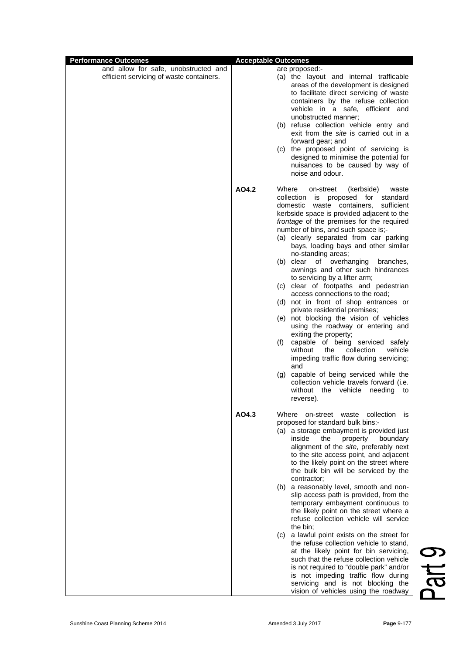| <b>Performance Outcomes</b>                                                      | <b>Acceptable Outcomes</b> |                                                                                                                                                                                                                                                                                                                                                                                                                                                                                                                                                                                                                                                                                                                                                                                                                                                                                                                                                                                                                                                      |
|----------------------------------------------------------------------------------|----------------------------|------------------------------------------------------------------------------------------------------------------------------------------------------------------------------------------------------------------------------------------------------------------------------------------------------------------------------------------------------------------------------------------------------------------------------------------------------------------------------------------------------------------------------------------------------------------------------------------------------------------------------------------------------------------------------------------------------------------------------------------------------------------------------------------------------------------------------------------------------------------------------------------------------------------------------------------------------------------------------------------------------------------------------------------------------|
| and allow for safe, unobstructed and<br>efficient servicing of waste containers. |                            | are proposed:-<br>(a) the layout and internal trafficable<br>areas of the development is designed<br>to facilitate direct servicing of waste<br>containers by the refuse collection<br>vehicle in a safe, efficient and<br>unobstructed manner:<br>(b) refuse collection vehicle entry and<br>exit from the site is carried out in a<br>forward gear; and<br>(c) the proposed point of servicing is<br>designed to minimise the potential for<br>nuisances to be caused by way of<br>noise and odour.                                                                                                                                                                                                                                                                                                                                                                                                                                                                                                                                                |
|                                                                                  | AO4.2                      | Where<br>on-street (kerbside)<br>waste<br>collection<br>is proposed for<br>standard<br>waste containers,<br>sufficient<br>domestic<br>kerbside space is provided adjacent to the<br>frontage of the premises for the required<br>number of bins, and such space is;-<br>(a) clearly separated from car parking<br>bays, loading bays and other similar<br>no-standing areas;<br>of overhanging<br>(b) clear<br>branches,<br>awnings and other such hindrances<br>to servicing by a lifter arm;<br>(c) clear of footpaths and pedestrian<br>access connections to the road;<br>(d) not in front of shop entrances or<br>private residential premises;<br>(e) not blocking the vision of vehicles<br>using the roadway or entering and<br>exiting the property;<br>capable of being serviced safely<br>(f)<br>without<br>collection<br>vehicle<br>the<br>impeding traffic flow during servicing;<br>and<br>capable of being serviced while the<br>(g)<br>collection vehicle travels forward (i.e.<br>without the vehicle<br>needing<br>to<br>reverse). |
|                                                                                  | AO4.3                      | Where on-street waste collection is<br>proposed for standard bulk bins:-<br>(a) a storage embayment is provided just<br>inside<br>the<br>property<br>boundary<br>alignment of the site, preferably next<br>to the site access point, and adjacent<br>to the likely point on the street where<br>the bulk bin will be serviced by the<br>contractor;<br>(b) a reasonably level, smooth and non-<br>slip access path is provided, from the<br>temporary embayment continuous to<br>the likely point on the street where a<br>refuse collection vehicle will service<br>the bin;<br>(c) a lawful point exists on the street for<br>the refuse collection vehicle to stand,<br>at the likely point for bin servicing,<br>such that the refuse collection vehicle<br>is not required to "double park" and/or<br>is not impeding traffic flow during<br>servicing and is not blocking the<br>vision of vehicles using the roadway                                                                                                                          |